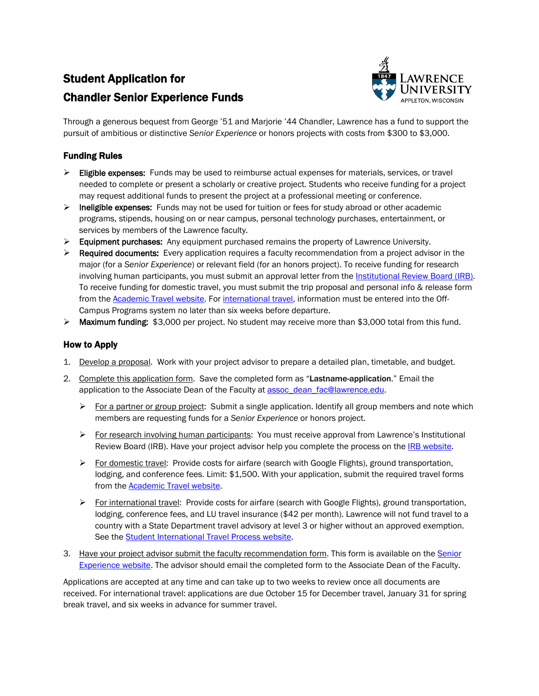# Student Application for Chandler Senior Experience Funds



Through a generous bequest from George '51 and Marjorie '44 Chandler, Lawrence has a fund to support the pursuit of ambitious or distinctive *Senior Experience* or honors projects with costs from \$300 to \$3,000.

### Funding Rules

- $\triangleright$  Eligible expenses: Funds may be used to reimburse actual expenses for materials, services, or travel needed to complete or present a scholarly or creative project. Students who receive funding for a project may request additional funds to present the project at a professional meeting or conference.
- $\triangleright$  Ineligible expenses: Funds may not be used for tuition or fees for study abroad or other academic programs, stipends, housing on or near campus, personal technology purchases, entertainment, or services by members of the Lawrence faculty.
- $\triangleright$  Equipment purchases: Any equipment purchased remains the property of Lawrence University.
- $\triangleright$  Required documents: Every application requires a faculty recommendation from a project advisor in the major (for a *Senior Experience*) or relevant field (for an honors project). To receive funding for research involving human participants, you must submit an approval letter from the Institutional Review Board (IRB). To receive funding for domestic travel, you must submit the trip proposal and personal info & release form from the [Academic Travel website.](http://www.lawrence.edu/faculty/academic-travel) For [international travel,](http://www.lawrence.edu/academics/off-campus/off-campus_study_policies_procedures/student_intl_travel_process) information must be entered into the Off-Campus Programs system no later than six weeks before departure.
- ▶ Maximum funding: \$3,000 per project. No student may receive more than \$3,000 total from this fund.

#### How to Apply

- 1. Develop a proposal. Work with your project advisor to prepare a detailed plan, timetable, and budget.
- 2. Complete this application form. Save the completed form as "Lastname-application." Email the application to the Associate Dean of the Faculty at [assoc\\_dean\\_fac@lawrence.edu.](mailto:assoc_dean_fac@lawrence.edu)
	- For a partner or group project: Submit a single application. Identify all group members and note which members are requesting funds for a *Senior Experience* or honors project.
	- For research involving human participants: You must receive approval from Lawrence's Institutional Review Board (IRB). Have your project advisor help you complete the process on the **IRB** website.
	- $\triangleright$  For domestic travel: Provide costs for airfare (search with Google Flights), ground transportation, lodging, and conference fees. Limit: \$1,500. With your application, submit the required travel forms from the **Academic Travel website**.
	- $\triangleright$  For international travel: Provide costs for airfare (search with Google Flights), ground transportation, lodging, conference fees, and LU travel insurance (\$42 per month). Lawrence will not fund travel to a country with a State Department travel advisory at level 3 or higher without an approved exemption. See the [Student International Travel Process website.](http://www.lawrence.edu/academics/off-campus/off-campus_study_policies_procedures/student_intl_travel_process)
- 3. Have your project advisor submit the faculty recommendation form. This form is available on the Senior [Experience website.](http://www.lawrence.edu/academics/senior_experience) The advisor should email the completed form to the Associate Dean of the Faculty.

Applications are accepted at any time and can take up to two weeks to review once all documents are received. For international travel: applications are due October 15 for December travel, January 31 for spring break travel, and six weeks in advance for summer travel.